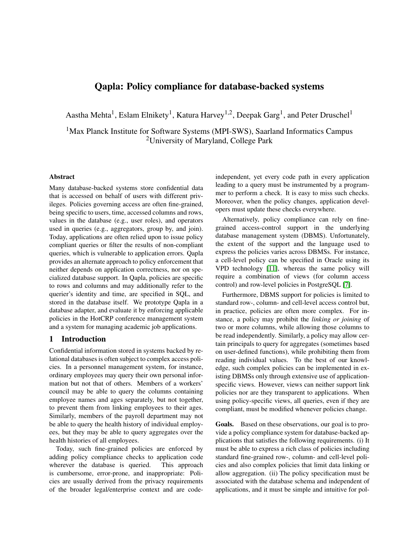# Qapla: Policy compliance for database-backed systems

Aastha Mehta<sup>1</sup>, Eslam Elnikety<sup>1</sup>, Katura Harvey<sup>1,2</sup>, Deepak Garg<sup>1</sup>, and Peter Druschel<sup>1</sup>

<sup>1</sup>Max Planck Institute for Software Systems (MPI-SWS), Saarland Informatics Campus <sup>2</sup>University of Maryland, College Park

### Abstract

Many database-backed systems store confidential data that is accessed on behalf of users with different privileges. Policies governing access are often fine-grained, being specific to users, time, accessed columns and rows, values in the database (e.g., user roles), and operators used in queries (e.g., aggregators, group by, and join). Today, applications are often relied upon to issue policy compliant queries or filter the results of non-compliant queries, which is vulnerable to application errors. Qapla provides an alternate approach to policy enforcement that neither depends on application correctness, nor on specialized database support. In Qapla, policies are specific to rows and columns and may additionally refer to the querier's identity and time, are specified in SQL, and stored in the database itself. We prototype Qapla in a database adapter, and evaluate it by enforcing applicable policies in the HotCRP conference management system and a system for managing academic job applications.

## 1 Introduction

Confidential information stored in systems backed by relational databases is often subject to complex access policies. In a personnel management system, for instance, ordinary employees may query their own personal information but not that of others. Members of a workers' council may be able to query the columns containing employee names and ages separately, but not together, to prevent them from linking employees to their ages. Similarly, members of the payroll department may not be able to query the health history of individual employees, but they may be able to query aggregates over the health histories of all employees.

Today, such fine-grained policies are enforced by adding policy compliance checks to application code wherever the database is queried. This approach is cumbersome, error-prone, and inappropriate: Policies are usually derived from the privacy requirements of the broader legal/enterprise context and are codeindependent, yet every code path in every application leading to a query must be instrumented by a programmer to perform a check. It is easy to miss such checks. Moreover, when the policy changes, application developers must update these checks everywhere.

Alternatively, policy compliance can rely on finegrained access-control support in the underlying database management system (DBMS). Unfortunately, the extent of the support and the language used to express the policies varies across DBMSs. For instance, a cell-level policy can be specified in Oracle using its VPD technology [\[11\]](#page-15-0), whereas the same policy will require a combination of views (for column access control) and row-level policies in PostgreSQL [\[7\]](#page-15-1).

Furthermore, DBMS support for policies is limited to standard row-, column- and cell-level access control but, in practice, policies are often more complex. For instance, a policy may prohibit the *linking or joining* of two or more columns, while allowing those columns to be read independently. Similarly, a policy may allow certain principals to query for aggregates (sometimes based on user-defined functions), while prohibiting them from reading individual values. To the best of our knowledge, such complex policies can be implemented in existing DBMSs only through extensive use of applicationspecific views. However, views can neither support link policies nor are they transparent to applications. When using policy-specific views, all queries, even if they are compliant, must be modified whenever policies change.

Goals. Based on these observations, our goal is to provide a policy compliance system for database-backed applications that satisfies the following requirements. (i) It must be able to express a rich class of policies including standard fine-grained row-, column- and cell-level policies and also complex policies that limit data linking or allow aggregation. (ii) The policy specification must be associated with the database schema and independent of applications, and it must be simple and intuitive for pol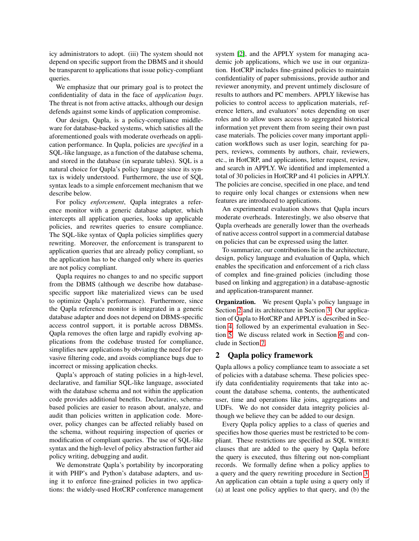icy administrators to adopt. (iii) The system should not depend on specific support from the DBMS and it should be transparent to applications that issue policy-compliant queries.

We emphasize that our primary goal is to protect the confidentiality of data in the face of *application bugs*. The threat is not from active attacks, although our design defends against some kinds of application compromise.

Our design, Qapla, is a policy-compliance middleware for database-backed systems, which satisfies all the aforementioned goals with moderate overheads on application performance. In Qapla, policies are *specified* in a SQL-like language, as a function of the database schema, and stored in the database (in separate tables). SQL is a natural choice for Qapla's policy language since its syntax is widely understood. Furthermore, the use of SQL syntax leads to a simple enforcement mechanism that we describe below.

For policy *enforcement*, Qapla integrates a reference monitor with a generic database adapter, which intercepts all application queries, looks up applicable policies, and rewrites queries to ensure compliance. The SQL-like syntax of Qapla policies simplifies query rewriting. Moreover, the enforcement is transparent to application queries that are already policy compliant, so the application has to be changed only where its queries are not policy compliant.

Qapla requires no changes to and no specific support from the DBMS (although we describe how databasespecific support like materialized views can be used to optimize Qapla's performance). Furthermore, since the Qapla reference monitor is integrated in a generic database adapter and does not depend on DBMS-specific access control support, it is portable across DBMSs. Qapla removes the often large and rapidly evolving applications from the codebase trusted for compliance, simplifies new applications by obviating the need for pervasive filtering code, and avoids compliance bugs due to incorrect or missing application checks.

Qapla's approach of stating policies in a high-level, declarative, and familiar SQL-like language, associated with the database schema and not within the application code provides additional benefits. Declarative, schemabased policies are easier to reason about, analyze, and audit than policies written in application code. Moreover, policy changes can be affected reliably based on the schema, without requiring inspection of queries or modification of compliant queries. The use of SQL-like syntax and the high-level of policy abstraction further aid policy writing, debugging and audit.

We demonstrate Qapla's portability by incorporating it with PHP's and Python's database adapters, and using it to enforce fine-grained policies in two applications: the widely-used HotCRP conference management system [\[2\]](#page-15-2), and the APPLY system for managing academic job applications, which we use in our organization. HotCRP includes fine-grained policies to maintain confidentiality of paper submissions, provide author and reviewer anonymity, and prevent untimely disclosure of results to authors and PC members. APPLY likewise has policies to control access to application materials, reference letters, and evaluators' notes depending on user roles and to allow users access to aggregated historical information yet prevent them from seeing their own past case materials. The policies cover many important application workflows such as user login, searching for papers, reviews, comments by authors, chair, reviewers, etc., in HotCRP, and applications, letter request, review, and search in APPLY. We identified and implemented a total of 30 policies in HotCRP and 41 policies in APPLY. The policies are concise, specified in one place, and tend to require only local changes or extensions when new features are introduced to applications.

An experimental evaluation shows that Qapla incurs moderate overheads. Interestingly, we also observe that Qapla overheads are generally lower than the overheads of native access control support in a commercial database on policies that can be expressed using the latter.

To summarize, our contributions lie in the architecture, design, policy language and evaluation of Qapla, which enables the specification and enforcement of a rich class of complex and fine-grained policies (including those based on linking and aggregation) in a database-agnostic and application-transparent manner.

**Organization.** We present Qapla's policy language in Section [2](#page-1-0) and its architecture in Section [3.](#page-4-0) Our application of Qapla to HotCRP and APPLY is described in Section [4,](#page-7-0) followed by an experimental evaluation in Section [5.](#page-9-0) We discuss related work in Section [6](#page-13-0) and conclude in Section [7.](#page-15-3)

## <span id="page-1-0"></span>2 Qapla policy framework

Qapla allows a policy compliance team to associate a set of policies with a database schema. These policies specify data confidentiality requirements that take into account the database schema, contents, the authenticated user, time and operations like joins, aggregations and UDFs. We do not consider data integrity policies although we believe they can be added to our design.

Every Qapla policy applies to a class of queries and specifies how those queries must be restricted to be compliant. These restrictions are specified as SQL WHERE clauses that are added to the query by Qapla before the query is executed, thus filtering out non-compliant records. We formally define when a policy applies to a query and the query rewriting procedure in Section [3.](#page-4-0) An application can obtain a tuple using a query only if (a) at least one policy applies to that query, and (b) the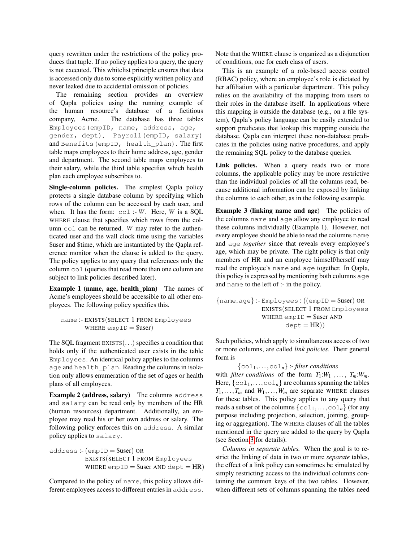query rewritten under the restrictions of the policy produces that tuple. If no policy applies to a query, the query is not executed. This whitelist principle ensures that data is accessed only due to some explicitly written policy and never leaked due to accidental omission of policies.

The remaining section provides an overview of Qapla policies using the running example of the human resource's database of a fictitious company, Acme. The database has three tables Employees(empID, name, address, age, gender, dept), Payroll(empID, salary) and Benefits(empID, health\_plan). The first table maps employees to their home address, age, gender and department. The second table maps employees to their salary, while the third table specifies which health plan each employee subscribes to.

Single-column policies. The simplest Qapla policy protects a single database column by specifying which rows of the column can be accessed by each user, and when. It has the form:  $col$ :- *W*. Here, *W* is a SQL WHERE clause that specifies which rows from the column col can be returned. *W* may refer to the authenticated user and the wall clock time using the variables \$user and \$time, which are instantiated by the Qapla reference monitor when the clause is added to the query. The policy applies to any query that references only the column col (queries that read more than one column are subject to link policies described later).

Example 1 (name, age, health plan) The names of Acme's employees should be accessible to all other employees. The following policy specifies this.

## name :- EXISTS(SELECT 1 FROM Employees WHERE  $empID =$ Suser)

The SQL fragment EXISTS(...) specifies a condition that holds only if the authenticated user exists in the table Employees. An identical policy applies to the columns age and health\_plan. Reading the columns in isolation only allows enumeration of the set of ages or health plans of all employees.

Example 2 (address, salary) The columns address and salary can be read only by members of the HR (human resources) department. Additionally, an employee may read his or her own address or salary. The following policy enforces this on address. A similar policy applies to salary.

address :- (empID = \$user) OR EXISTS(SELECT 1 FROM Employees WHERE  $empID =$ Suser AND dept  $= HR$ )

Compared to the policy of name, this policy allows different employees access to different entries in address. Note that the WHERE clause is organized as a disjunction of conditions, one for each class of users.

This is an example of a role-based access control (RBAC) policy, where an employee's role is dictated by her affiliation with a particular department. This policy relies on the availability of the mapping from users to their roles in the database itself. In applications where this mapping is outside the database (e.g., on a file system), Qapla's policy language can be easily extended to support predicates that lookup this mapping outside the database. Qapla can interpret these non-database predicates in the policies using native procedures, and apply the remaining SQL policy to the database queries.

Link policies. When a query reads two or more columns, the applicable policy may be more restrictive than the individual policies of all the columns read, because additional information can be exposed by linking the columns to each other, as in the following example.

Example 3 (linking name and age) The policies of the columns name and age allow any employee to read these columns individually (Example 1). However, not every employee should be able to read the columns name and age *together* since that reveals every employee's age, which may be private. The right policy is that only members of HR and an employee himself/herself may read the employee's name and age together. In Qapla, this policy is expressed by mentioning both columns age and name to the left of :- in the policy.

$$
{name, age} :: \text{Employees} : ((empID = $user) \text{ OR } \text{EXISTS}(\text{SELECT 1 FROM Employpes } \text{WHERE empID} = $user \text{ AND } \text{dept} = \text{HR}))
$$

Such policies, which apply to simultaneous access of two or more columns, are called *link policies*. Their general form is

{col1,...,col*n*} :- *filter conditions* with *filter conditions* of the form  $T_1:W_1, \ldots, T_m:W_m$ . Here,  $\{\text{col}_1,\ldots,\text{col}_n\}$  are columns spanning the tables  $T_1, \ldots, T_m$  and  $W_1, \ldots, W_m$  are separate WHERE clauses for these tables. This policy applies to any query that reads a subset of the columns  $\{\text{col}_1,\ldots,\text{col}_n\}$  (for any purpose including projection, selection, joining, grouping or aggregation). The WHERE clauses of all the tables mentioned in the query are added to the query by Qapla (see Section [3](#page-4-0) for details).

*Columns in separate tables.* When the goal is to restrict the linking of data in two or more *separate* tables, the effect of a link policy can sometimes be simulated by simply restricting access to the individual columns containing the common keys of the two tables. However, when different sets of columns spanning the tables need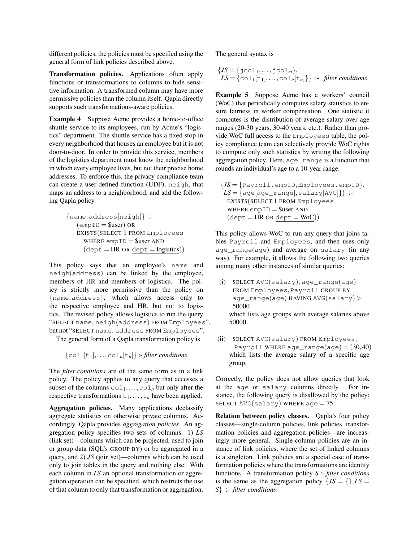different policies, the policies must be specified using the general form of link policies described above.

Transformation policies. Applications often apply functions or transformations to columns to hide sensitive information. A transformed column may have more permissive policies than the column itself. Qapla directly supports such transformations-aware policies.

Example 4 Suppose Acme provides a home-to-office shuttle service to its employees, run by Acme's "logistics" department. The shuttle service has a fixed stop in every neighborhood that houses an employee but it is not door-to-door. In order to provide this service, members of the logistics department must know the neighborhood in which every employee lives, but not their precise home addresses. To enforce this, the privacy compliance team can create a user-defined function (UDF), neigh, that maps an address to a neighborhood, and add the following Qapla policy.

```
{name,address[neigh]} :-
   (empID = $user) OR
   EXISTS(SELECT 1 FROM Employees
     WHERE empID =Suser AND
     (\text{dept} = HR \text{ OR } \text{dept} = \text{logistics}))
```
This policy says that an employee's name and neigh(address) can be linked by the employee, members of HR and members of logistics. The policy is strictly more permissive than the policy on {name,address}, which allows access only to the respective employee and HR, but not to logistics. The revised policy allows logistics to run the query "SELECT name, neigh(address) FROM Employees", but not "SELECT name, address FROM Employees".

The general form of a Qapla transformation policy is

 $\{\text{col}_1[t_1], \ldots, \text{col}_n[t_n]\}$  :-filter conditions

The *filter conditions* are of the same form as in a link policy. The policy applies to any query that accesses a subset of the columns  $col_1, \ldots, col_n$  but only after the respective transformations  $t_1$ ,...,  $t_n$  have been applied.

Aggregation policies. Many applications declassify aggregate statistics on otherwise private columns. Accordingly, Qapla provides *aggregation policies*. An aggregation policy specifies two sets of columns: 1) *LS* (link set)—columns which can be projected, used to join or group data (SQL's GROUP BY) or be aggregated in a query, and 2) *JS* (join set)—columns which can be used only to join tables in the query and nothing else. With each column in *LS* an optional transformation or aggregation operation can be specified, which restricts the use of that column to only that transformation or aggregation. The general syntax is

$$
\{JS = \{jco1_1, \ldots, jco1_m\},\
$$
  

$$
LS = \{col_1[t_1], \ldots, col_n[t_n]\}\} \therefore
$$
 filter conditions

Example 5 Suppose Acme has a workers' council (WoC) that periodically computes salary statistics to ensure fairness in worker compensation. One statistic it computes is the distribution of average salary over age ranges (20-30 years, 30-40 years, etc.). Rather than provide WoC full access to the Employees table, the policy compliance team can selectively provide WoC rights to compute only such statistics by writing the following aggregation policy. Here, age\_range is a function that rounds an individual's age to a 10-year range.

 ${JS = {Payroll .emptyees .empty}}$  $LS = \{age[age\_range], salary[AVG]\}$ : EXISTS(SELECT 1 FROM Employees WHERE  $empID =$ Suser AND  $(\text{dept} = HR \text{ OR } \text{dept} = \text{WoC}))$ 

This policy allows WoC to run any query that joins tables Payroll and Employees, and then uses only age\_range(age) and average on salary (in any way). For example, it allows the following two queries among many other instances of similar queries:

- (i) SELECT AVG(salary), age\_range(age) FROM Employees,Payroll GROUP BY age\_range(age) HAVING AVG(salary) > 50000 which lists age groups with average salaries above 50000.
- (ii) SELECT AVG(salary) FROM Employees, Payroll WHERE age\_range(age) =  $(30, 40)$ which lists the average salary of a specific age group.

Correctly, the policy does not allow queries that look at the age or salary columns directly. For instance, the following query is disallowed by the policy: SELECT AVG(salary) WHERE age  $= 75$ .

Relation between policy classes. Qapla's four policy classes—single-column policies, link policies, transformation policies and aggregation policies—are increasingly more general. Single-column policies are an instance of link policies, where the set of linked columns is a singleton. Link policies are a special case of transformation policies where the transformations are identity functions. A transformation policy *S* :- *filter conditions* is the same as the aggregation policy  $\{JS = \{\}, LS = \}$ *S*} :- *filter conditions*.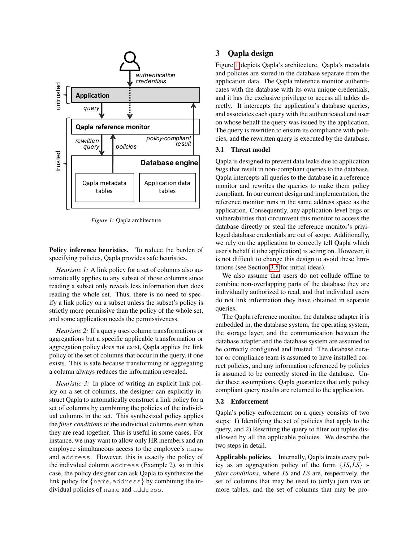<span id="page-4-1"></span>

*Figure 1:* Qapla architecture

Policy inference heuristics. To reduce the burden of specifying policies, Qapla provides safe heuristics.

*Heuristic 1:* A link policy for a set of columns also automatically applies to any subset of those columns since reading a subset only reveals less information than does reading the whole set. Thus, there is no need to specify a link policy on a subset unless the subset's policy is strictly more permissive than the policy of the whole set, and some application needs the permissiveness.

*Heuristic 2:* If a query uses column transformations or aggregations but a specific applicable transformation or aggregation policy does not exist, Qapla applies the link policy of the set of columns that occur in the query, if one exists. This is safe because transforming or aggregating a column always reduces the information revealed.

<span id="page-4-0"></span>*Heuristic 3:* In place of writing an explicit link policy on a set of columns, the designer can explicitly instruct Qapla to automatically construct a link policy for a set of columns by combining the policies of the individual columns in the set. This synthesized policy applies the *filter conditions* of the individual columns even when they are read together. This is useful in some cases. For instance, we may want to allow only HR members and an employee simultaneous access to the employee's name and address. However, this is exactly the policy of the individual column address (Example 2), so in this case, the policy designer can ask Qapla to synthesize the link policy for {name,address} by combining the individual policies of name and address.

## 3 Qapla design

Figure [1](#page-4-1) depicts Qapla's architecture. Qapla's metadata and policies are stored in the database separate from the application data. The Qapla reference monitor authenticates with the database with its own unique credentials, and it has the exclusive privilege to access all tables directly. It intercepts the application's database queries, and associates each query with the authenticated end user on whose behalf the query was issued by the application. The query is rewritten to ensure its compliance with policies, and the rewritten query is executed by the database.

## 3.1 Threat model

Qapla is designed to prevent data leaks due to application *bugs* that result in non-compliant queries to the database. Qapla intercepts all queries to the database in a reference monitor and rewrites the queries to make them policy compliant. In our current design and implementation, the reference monitor runs in the same address space as the application. Consequently, any application-level bugs or vulnerabilities that circumvent this monitor to access the database directly or steal the reference monitor's privileged database credentials are out of scope. Additionally, we rely on the application to correctly tell Qapla which user's behalf it (the application) is acting on. However, it is not difficult to change this design to avoid these limitations (see Section [3.5](#page-6-0) for initial ideas).

We also assume that users do not collude offline to combine non-overlapping parts of the database they are individually authorized to read, and that individual users do not link information they have obtained in separate queries.

The Qapla reference monitor, the database adapter it is embedded in, the database system, the operating system, the storage layer, and the communication between the database adapter and the database system are assumed to be correctly configured and trusted. The database curator or compliance team is assumed to have installed correct policies, and any information referenced by policies is assumed to be correctly stored in the database. Under these assumptions, Qapla guarantees that only policy compliant query results are returned to the application.

#### <span id="page-4-2"></span>3.2 Enforcement

Qapla's policy enforcement on a query consists of two steps: 1) Identifying the set of policies that apply to the query, and 2) Rewriting the query to filter out tuples disallowed by all the applicable policies. We describe the two steps in detail.

Applicable policies. Internally, Qapla treats every policy as an aggregation policy of the form {*JS*,*LS*} : *filter conditions*, where *JS* and *LS* are, respectively, the set of columns that may be used to (only) join two or more tables, and the set of columns that may be pro-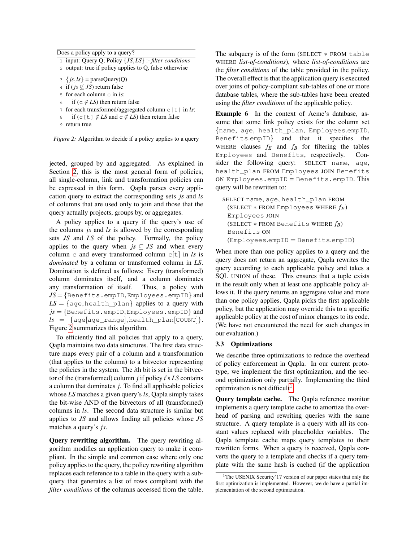<span id="page-5-0"></span>

| Does a policy apply to a query? |                                                           |  |  |
|---------------------------------|-----------------------------------------------------------|--|--|
|                                 | 1 input: Query Q; Policy $\{JS, LS\}$ :-filter conditions |  |  |
|                                 | 2 output: true if policy applies to Q, false otherwise    |  |  |
|                                 | $3 \{js, ls\}$ = parseQuery(Q)                            |  |  |
|                                 | 4 if ( <i>js</i> $\not\subseteq$ <i>JS</i> ) return false |  |  |
|                                 | 5 for each column $\subset$ in ls:                        |  |  |

- 6 if (c  $\notin LS$ ) then return false
- 7 for each transformed/aggregated column c[t] in *ls*:
- if (c[t]  $\notin LS$  and c  $\notin LS$ ) then return false
- 9 return true

*Figure 2:* Algorithm to decide if a policy applies to a query

jected, grouped by and aggregated. As explained in Section [2,](#page-1-0) this is the most general form of policies; all single-column, link and transformation policies can be expressed in this form. Qapla parses every application query to extract the corresponding sets *js* and *ls* of columns that are used only to join and those that the query actually projects, groups by, or aggregates.

A policy applies to a query if the query's use of the columns *js* and *ls* is allowed by the corresponding sets *JS* and *LS* of the policy. Formally, the policy applies to the query when  $js \subseteq JS$  and when every column c and every transformed column c[t] in *ls* is *dominated* by a column or transformed column in *LS*. Domination is defined as follows: Every (transformed) column dominates itself, and a column dominates any transformation of itself. Thus, a policy with *JS* = {Benefits.empID,Employees.empID} and  $LS = \{age, health\_plan\}$  applies to a query with *js* = {Benefits.empID,Employees.empID} and  $ls = \{age[age\_range], health\_plan[COUNT]\}.$ Figure [2](#page-5-0) summarizes this algorithm.

To efficiently find all policies that apply to a query, Qapla maintains two data structures. The first data structure maps every pair of a column and a transformation (that applies to the column) to a bitvector representing the policies in the system. The *i*th bit is set in the bitvector of the (transformed) column *j* if policy *i*'s *LS* contains a column that dominates *j*. To find all applicable policies whose *LS* matches a given query's *ls*, Qapla simply takes the bit-wise AND of the bitvectors of all (transformed) columns in *ls*. The second data structure is similar but applies to *JS* and allows finding all policies whose *JS* matches a query's *js*.

Query rewriting algorithm. The query rewriting algorithm modifies an application query to make it compliant. In the simple and common case where only one policy applies to the query, the policy rewriting algorithm replaces each reference to a table in the query with a subquery that generates a list of rows compliant with the *filter conditions* of the columns accessed from the table. The subquery is of the form (SELECT  $*$  FROM table WHERE *list-of-conditions*), where *list-of-conditions* are the *filter conditions* of the table provided in the policy. The overall effect is that the application query is executed over joins of policy-compliant sub-tables of one or more database tables, where the sub-tables have been created using the *filter conditions* of the applicable policy.

Example 6 In the context of Acme's database, assume that some link policy exists for the column set {name, age, health\_plan, Employees.empID, Benefits.empID} and that it specifies the WHERE clauses  $f_E$  and  $f_B$  for filtering the tables Employees and Benefits, respectively. Consider the following query: SELECT name, age, health\_plan FROM Employees JOIN Benefits ON Employees.empID = Benefits.empID. This query will be rewritten to:

SELECT name, age, health\_plan FROM (SELECT ∗ FROM Employees WHERE *fE*) Employees JOIN (SELECT ∗ FROM Benefits WHERE *fB*) Benefits ON (Employees.empID = Benefits.empID)

When more than one policy applies to a query and the query does not return an aggregate, Qapla rewrites the query according to each applicable policy and takes a SQL UNION of these. This ensures that a tuple exists in the result only when at least one applicable policy allows it. If the query returns an aggregate value and more than one policy applies, Qapla picks the first applicable policy, but the application may override this to a specific applicable policy at the cost of minor changes to its code. (We have not encountered the need for such changes in our evaluation.)

#### <span id="page-5-2"></span>3.3 Optimizations

We describe three optimizations to reduce the overhead of policy enforcement in Qapla. In our current prototype, we implement the first optimization, and the second optimization only partially. Implementing the third optimization is not difficult<sup>[1](#page-5-1)</sup>.

Query template cache. The Qapla reference monitor implements a query template cache to amortize the overhead of parsing and rewriting queries with the same structure. A query template is a query with all its constant values replaced with placeholder variables. The Qapla template cache maps query templates to their rewritten forms. When a query is received, Qapla converts the query to a template and checks if a query template with the same hash is cached (if the application

<span id="page-5-1"></span><sup>&</sup>lt;sup>1</sup>The USENIX Security'17 version of our paper states that only the first optimization is implemented. However, we do have a partial implementation of the second optimization.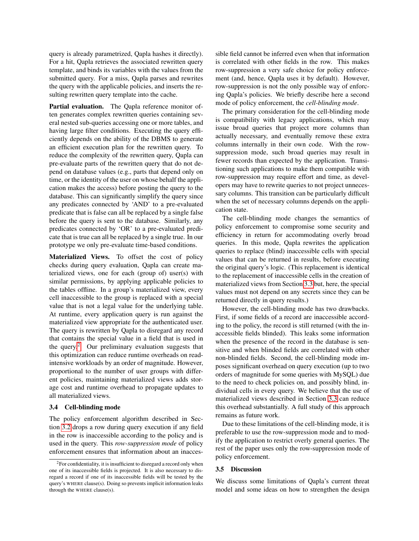query is already parametrized, Qapla hashes it directly). For a hit, Qapla retrieves the associated rewritten query template, and binds its variables with the values from the submitted query. For a miss, Qapla parses and rewrites the query with the applicable policies, and inserts the resulting rewritten query template into the cache.

Partial evaluation. The Qapla reference monitor often generates complex rewritten queries containing several nested sub-queries accessing one or more tables, and having large filter conditions. Executing the query efficiently depends on the ability of the DBMS to generate an efficient execution plan for the rewritten query. To reduce the complexity of the rewritten query, Qapla can pre-evaluate parts of the rewritten query that do not depend on database values (e.g., parts that depend only on time, or the identity of the user on whose behalf the application makes the access) before posting the query to the database. This can significantly simplify the query since any predicates connected by 'AND' to a pre-evaluated predicate that is false can all be replaced by a single false before the query is sent to the database. Similarly, any predicates connected by 'OR' to a pre-evaluated predicate that is true can all be replaced by a single true. In our prototype we only pre-evaluate time-based conditions.

Materialized Views. To offset the cost of policy checks during query evaluation, Qapla can create materialized views, one for each (group of) user(s) with similar permissions, by applying applicable policies to the tables offline. In a group's materialized view, every cell inaccessible to the group is replaced with a special value that is not a legal value for the underlying table. At runtime, every application query is run against the materialized view appropriate for the authenticated user. The query is rewritten by Qapla to disregard any record that contains the special value in a field that is used in the query. $2$  Our preliminary evaluation suggests that this optimization can reduce runtime overheads on readintensive workloads by an order of magnitude. However, proportional to the number of user groups with different policies, maintaining materialized views adds storage cost and runtime overhead to propagate updates to all materialized views.

#### 3.4 Cell-blinding mode

The policy enforcement algorithm described in Section [3.2](#page-4-2) drops a row during query execution if any field in the row is inaccessible according to the policy and is used in the query. This *row-suppression mode* of policy enforcement ensures that information about an inaccessible field cannot be inferred even when that information is correlated with other fields in the row. This makes row-suppression a very safe choice for policy enforcement (and, hence, Qapla uses it by default). However, row-suppression is not the only possible way of enforcing Qapla's policies. We briefly describe here a second mode of policy enforcement, the *cell-blinding mode*.

The primary consideration for the cell-blinding mode is compatibility with legacy applications, which may issue broad queries that project more columns than actually necessary, and eventually remove these extra columns internally in their own code. With the rowsuppression mode, such broad queries may result in fewer records than expected by the application. Transitioning such applications to make them compatible with row-suppression may require effort and time, as developers may have to rewrite queries to not project unnecessary columns. This transition can be particularly difficult when the set of necessary columns depends on the application state.

The cell-blinding mode changes the semantics of policy enforcement to compromise some security and efficiency in return for accommodating overly broad queries. In this mode, Qapla rewrites the application queries to replace (blind) inaccessible cells with special values that can be returned in results, before executing the original query's logic. (This replacement is identical to the replacement of inaccessible cells in the creation of materialized views from Section [3.3](#page-5-2) but, here, the special values must not depend on any secrets since they can be returned directly in query results.)

However, the cell-blinding mode has two drawbacks. First, if some fields of a record are inaccessible according to the policy, the record is still returned (with the inaccessible fields blinded). This leaks some information when the presence of the record in the database is sensitive and when blinded fields are correlated with other non-blinded fields. Second, the cell-blinding mode imposes significant overhead on query execution (up to two orders of magnitude for some queries with MySQL) due to the need to check policies on, and possibly blind, individual cells in every query. We believe that the use of materialized views described in Section [3.3](#page-5-2) can reduce this overhead substantially. A full study of this approach remains as future work.

Due to these limitations of the cell-blinding mode, it is preferable to use the row-suppression mode and to modify the application to restrict overly general queries. The rest of the paper uses only the row-suppression mode of policy enforcement.

### <span id="page-6-0"></span>3.5 Discussion

We discuss some limitations of Qapla's current threat model and some ideas on how to strengthen the design

<span id="page-6-1"></span><sup>2</sup>For confidentiality, it is insufficient to disregard a record only when one of its inaccessible fields is projected. It is also necessary to disregard a record if one of its inaccessible fields will be tested by the query's WHERE clause(s). Doing so prevents implicit information leaks through the WHERE clause(s).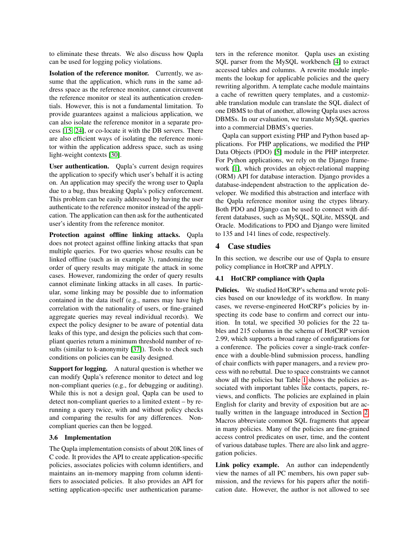to eliminate these threats. We also discuss how Qapla can be used for logging policy violations.

Isolation of the reference monitor. Currently, we assume that the application, which runs in the same address space as the reference monitor, cannot circumvent the reference monitor or steal its authentication credentials. However, this is not a fundamental limitation. To provide guarantees against a malicious application, we can also isolate the reference monitor in a separate process [\[15,](#page-16-0) [24\]](#page-16-1), or co-locate it with the DB servers. There are also efficient ways of isolating the reference monitor within the application address space, such as using light-weight contexts [\[30\]](#page-16-2).

User authentication. Qapla's current design requires the application to specify which user's behalf it is acting on. An application may specify the wrong user to Qapla due to a bug, thus breaking Qapla's policy enforcement. This problem can be easily addressed by having the user authenticate to the reference monitor instead of the application. The application can then ask for the authenticated user's identity from the reference monitor.

Protection against offline linking attacks. Qapla does not protect against offline linking attacks that span multiple queries. For two queries whose results can be linked offline (such as in example 3), randomizing the order of query results may mitigate the attack in some cases. However, randomizing the order of query results cannot eliminate linking attacks in all cases. In particular, some linking may be possible due to information contained in the data itself (e.g., names may have high correlation with the nationality of users, or fine-grained aggregate queries may reveal individual records). We expect the policy designer to be aware of potential data leaks of this type, and design the policies such that compliant queries return a minimum threshold number of results (similar to k-anonymity [\[37\]](#page-16-3)). Tools to check such conditions on policies can be easily designed.

Support for logging. A natural question is whether we can modify Qapla's reference monitor to detect and log non-compliant queries (e.g., for debugging or auditing). While this is not a design goal, Qapla can be used to detect non-compliant queries to a limited extent – by rerunning a query twice, with and without policy checks and comparing the results for any differences. Noncompliant queries can then be logged.

#### 3.6 Implementation

The Qapla implementation consists of about 20K lines of C code. It provides the API to create application-specific policies, associates policies with column identifiers, and maintains an in-memory mapping from column identifiers to associated policies. It also provides an API for setting application-specific user authentication parameters in the reference monitor. Qapla uses an existing SQL parser from the MySQL workbench [\[4\]](#page-15-4) to extract accessed tables and columns. A rewrite module implements the lookup for applicable policies and the query rewriting algorithm. A template cache module maintains a cache of rewritten query templates, and a customizable translation module can translate the SQL dialect of one DBMS to that of another, allowing Qapla uses across DBMSs. In our evaluation, we translate MySQL queries into a commercial DBMS's queries.

Qapla can support existing PHP and Python based applications. For PHP applications, we modified the PHP Data Objects (PDO) [\[5\]](#page-15-5) module in the PHP interpreter. For Python applications, we rely on the Django framework [\[1\]](#page-15-6), which provides an object-relational mapping (ORM) API for database interaction. Django provides a database-independent abstraction to the application developer. We modified this abstraction and interface with the Qapla reference monitor using the ctypes library. Both PDO and Django can be used to connect with different databases, such as MySQL, SQLite, MSSQL and Oracle. Modifications to PDO and Django were limited to 135 and 141 lines of code, respectively.

### <span id="page-7-0"></span>4 Case studies

In this section, we describe our use of Qapla to ensure policy compliance in HotCRP and APPLY.

### 4.1 HotCRP compliance with Qapla

Policies. We studied HotCRP's schema and wrote policies based on our knowledge of its workflow. In many cases, we reverse-engineered HotCRP's policies by inspecting its code base to confirm and correct our intuition. In total, we specified 30 policies for the 22 tables and 215 columns in the schema of HotCRP version 2.99, which supports a broad range of configurations for a conference. The policies cover a single-track conference with a double-blind submission process, handling of chair conflicts with paper managers, and a review process with no rebuttal. Due to space constraints we cannot show all the policies but Table [1](#page-8-0) shows the policies associated with important tables like contacts, papers, reviews, and conflicts. The policies are explained in plain English for clarity and brevity of exposition but are actually written in the language introduced in Section [2.](#page-1-0) Macros abbreviate common SQL fragments that appear in many policies. Many of the policies are fine-grained access control predicates on user, time, and the content of various database tuples. There are also link and aggregation policies.

Link policy example. An author can independently view the names of all PC members, his own paper submission, and the reviews for his papers after the notification date. However, the author is not allowed to see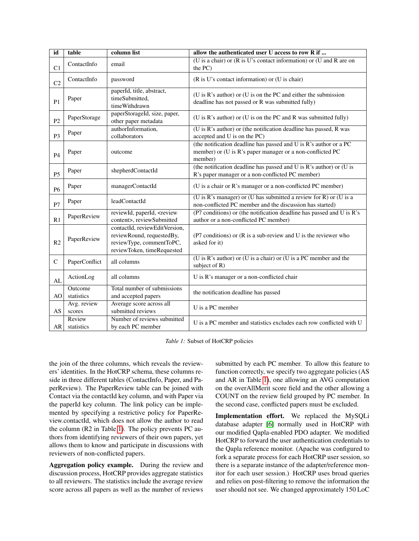<span id="page-8-0"></span>

| id             | table                 | column list                                                                                                          | allow the authenticated user U access to row R if                                                                                         |  |
|----------------|-----------------------|----------------------------------------------------------------------------------------------------------------------|-------------------------------------------------------------------------------------------------------------------------------------------|--|
| C1             | ContactInfo           | email                                                                                                                | (U is a chair) or (R is U's contact information) or (U and R are on<br>the PC)                                                            |  |
| C <sub>2</sub> | ContactInfo           | password                                                                                                             | (R is U's contact information) or (U is chair)                                                                                            |  |
| P <sub>1</sub> | Paper                 | paperId, title, abstract,<br>timeSubmitted,<br>timeWithdrawn                                                         | (U is R's author) or (U is on the PC and either the submission<br>deadline has not passed or R was submitted fully)                       |  |
| P2             | PaperStorage          | paperStorageId, size, paper,<br>other paper metadata                                                                 | (U is R's author) or (U is on the PC and R was submitted fully)                                                                           |  |
| P <sub>3</sub> | Paper                 | authorInformation,<br>collaborators                                                                                  | (U is R's author) or (the notification deadline has passed, R was<br>accepted and U is on the PC)                                         |  |
| P4             | Paper                 | outcome                                                                                                              | (the notification deadline has passed and U is R's author or a PC<br>member) or (U is R's paper manager or a non-conflicted PC<br>member) |  |
| <b>P5</b>      | Paper                 | shepherdContactId                                                                                                    | (the notification deadline has passed and $U$ is $R$ 's author) or $(U$ is<br>R's paper manager or a non-conflicted PC member)            |  |
| <b>P6</b>      | Paper                 | managerContactId                                                                                                     | (U is a chair or R's manager or a non-conflicted PC member)                                                                               |  |
| P7             | Paper                 | leadContactId                                                                                                        | (U is R's manager) or (U has submitted a review for R) or (U is a<br>non-conflicted PC member and the discussion has started)             |  |
| R1             | PaperReview           | reviewId, paperId, <review<br>content&gt;, reviewSubmitted</review<br>                                               | (P7 conditions) or (the notification deadline has passed and U is R's<br>author or a non-conflicted PC member)                            |  |
| R <sub>2</sub> | PaperReview           | contactId, reviewEditVersion,<br>reviewRound, requestedBy,<br>reviewType, commentToPC,<br>reviewToken, timeRequested | (P7 conditions) or (R is a sub-review and U is the reviewer who<br>asked for it)                                                          |  |
| $\mathcal{C}$  | PaperConflict         | all columns                                                                                                          | (U is R's author) or (U is a chair) or (U is a PC member and the<br>subject of R)                                                         |  |
| AL             | ActionLog             | all columns                                                                                                          | U is R's manager or a non-conflicted chair                                                                                                |  |
| AO             | Outcome<br>statistics | Total number of submissions<br>and accepted papers                                                                   | the notification deadline has passed                                                                                                      |  |
| AS             | Avg. review<br>scores | Average score across all<br>submitted reviews                                                                        | U is a PC member                                                                                                                          |  |
| AR             | Review<br>statistics  | Number of reviews submitted<br>by each PC member                                                                     | U is a PC member and statistics excludes each row conflicted with U                                                                       |  |

*Table 1:* Subset of HotCRP policies

the join of the three columns, which reveals the reviewers' identities. In the HotCRP schema, these columns reside in three different tables (ContactInfo, Paper, and PaperReview). The PaperReview table can be joined with Contact via the contactId key column, and with Paper via the paperId key column. The link policy can be implemented by specifying a restrictive policy for PaperReview.contactId, which does not allow the author to read the column (R2 in Table [1\)](#page-8-0). The policy prevents PC authors from identifying reviewers of their own papers, yet allows them to know and participate in discussions with reviewers of non-conflicted papers.

Aggregation policy example. During the review and discussion process, HotCRP provides aggregate statistics to all reviewers. The statistics include the average review score across all papers as well as the number of reviews

submitted by each PC member. To allow this feature to function correctly, we specify two aggregate policies (AS and AR in Table [1\)](#page-8-0), one allowing an AVG computation on the overAllMerit score field and the other allowing a COUNT on the review field grouped by PC member. In the second case, conflicted papers must be excluded.

Implementation effort. We replaced the MySQLi database adapter [\[6\]](#page-15-7) normally used in HotCRP with our modified Qapla-enabled PDO adapter. We modified HotCRP to forward the user authentication credentials to the Qapla reference monitor. (Apache was configured to fork a separate process for each HotCRP user session, so there is a separate instance of the adapter/reference monitor for each user session.) HotCRP uses broad queries and relies on post-filtering to remove the information the user should not see. We changed approximately 150 LoC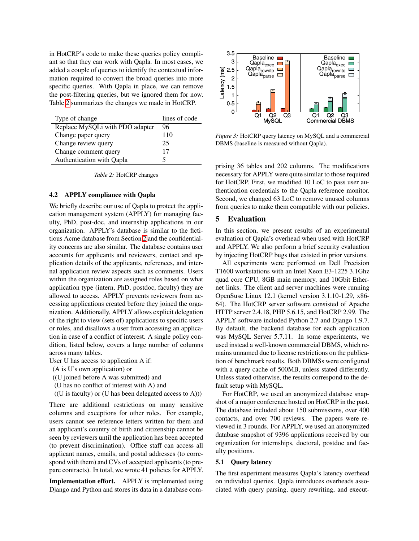in HotCRP's code to make these queries policy compliant so that they can work with Qapla. In most cases, we added a couple of queries to identify the contextual information required to convert the broad queries into more specific queries. With Qapla in place, we can remove the post-filtering queries, but we ignored them for now. Table [2](#page-9-1) summarizes the changes we made in HotCRP.

<span id="page-9-1"></span>

| Type of change                  | lines of code |
|---------------------------------|---------------|
| Replace MySQLi with PDO adapter | 96            |
| Change paper query              | 110           |
| Change review query             | 25            |
| Change comment query            | 17            |
| Authentication with Qapla       |               |

*Table 2:* HotCRP changes

## 4.2 APPLY compliance with Qapla

We briefly describe our use of Qapla to protect the application management system (APPLY) for managing faculty, PhD, post-doc, and internship applications in our organization. APPLY's database is similar to the fictitious Acme database from Section [2](#page-1-0) and the confidentiality concerns are also similar. The database contains user accounts for applicants and reviewers, contact and application details of the applicants, references, and internal application review aspects such as comments. Users within the organization are assigned roles based on what application type (intern, PhD, postdoc, faculty) they are allowed to access. APPLY prevents reviewers from accessing applications created before they joined the organization. Additionally, APPLY allows explicit delegation of the right to view (sets of) applications to specific users or roles, and disallows a user from accessing an application in case of a conflict of interest. A single policy condition, listed below, covers a large number of columns across many tables. and a pople (and provides in the plane, we can remove the proposition of queries into once<br>
the post-filtering queries, but we ignored them for norm and store the post-filtering queries, but we ignored them for norm and p

User U has access to application A if:

- (A is U's own application) or
- ((U joined before A was submitted) and
- (U has no conflict of interest with A) and
- $((U \text{ is faculty}) \text{ or } (U \text{ has been delegated access to } A)))$

There are additional restrictions on many sensitive columns and exceptions for other roles. For example, users cannot see reference letters written for them and an applicant's country of birth and citizenship cannot be seen by reviewers until the application has been accepted (to prevent discrimination). Office staff can access all applicant names, emails, and postal addresses (to correspond with them) and CVs of accepted applicants (to prepare contracts). In total, we wrote 41 policies for APPLY.

Implementation effort. APPLY is implemented using

<span id="page-9-2"></span>

*Figure 3:* HotCRP query latency on MySQL and a commercial DBMS (baseline is measured without Qapla).

prising 36 tables and 202 columns. The modifications necessary for APPLY were quite similar to those required for HotCRP. First, we modified 10 LoC to pass user authentication credentials to the Qapla reference monitor. Second, we changed 63 LoC to remove unused columns from queries to make them compatible with our policies.

## <span id="page-9-0"></span>5 Evaluation

In this section, we present results of an experimental evaluation of Qapla's overhead when used with HotCRP and APPLY. We also perform a brief security evaluation by injecting HotCRP bugs that existed in prior versions.

All experiments were performed on Dell Precision T1600 workstations with an Intel Xeon E3-1225 3.1Ghz quad core CPU, 8GB main memory, and 10Gbit Ethernet links. The client and server machines were running OpenSuse Linux 12.1 (kernel version 3.1.10-1.29, x86- 64). The HotCRP server software consisted of Apache HTTP server 2.4.18, PHP 5.6.15, and HotCRP 2.99. The APPLY software included Python 2.7 and Django 1.9.7. By default, the backend database for each application was MySQL Server 5.7.11. In some experiments, we used instead a well-known commercial DBMS, which remains unnamed due to license restrictions on the publication of benchmark results. Both DBMSs were configured with a query cache of 500MB, unless stated differently. Unless stated otherwise, the results correspond to the default setup with MySQL.

For HotCRP, we used an anonymized database snapshot of a major conference hosted on HotCRP in the past. The database included about 150 submissions, over 400 contacts, and over 700 reviews. The papers were reviewed in 3 rounds. For APPLY, we used an anonymized database snapshot of 9396 applications received by our organization for internships, doctoral, postdoc and faculty positions.

### 5.1 Query latency

The first experiment measures Qapla's latency overhead on individual queries. Qapla introduces overheads associated with query parsing, query rewriting, and execut-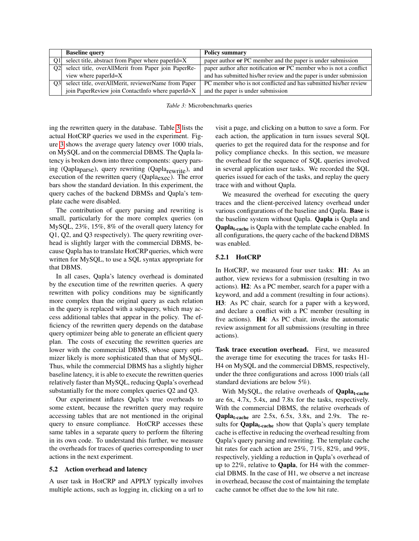<span id="page-10-0"></span>

|                | <b>Baseline query</b>                               | <b>Policy summary</b>                                              |
|----------------|-----------------------------------------------------|--------------------------------------------------------------------|
| O1             | select title, abstract from Paper where paperId=X   | paper author or PC member and the paper is under submission        |
| O <sub>2</sub> | select title, overAllMerit from Paper join PaperRe- | paper author after notification or PC member who is not a conflict |
|                | view where paperId=X                                | and has submitted his/her review and the paper is under submission |
| O <sub>3</sub> | select title, overAllMerit, reviewerName from Paper | PC member who is not conflicted and has submitted his/her review   |
|                | join PaperReview join ContactInfo where paperId=X   | and the paper is under submission                                  |

*Table 3:* Microbenchmarks queries

ing the rewritten query in the database. Table [3](#page-10-0) lists the actual HotCRP queries we used in the experiment. Figure [3](#page-9-2) shows the average query latency over 1000 trials, on MySQL and on the commercial DBMS. The Qapla latency is broken down into three components: query parsing (Qapla<sub>parse</sub>), query rewriting (Qapla<sub>rewrite</sub>), and execution of the rewritten query (Qaplaexec). The error bars show the standard deviation. In this experiment, the query caches of the backend DBMSs and Qapla's template cache were disabled.

The contribution of query parsing and rewriting is small, particularly for the more complex queries (on MySQL, 23%, 15%, 8% of the overall query latency for Q1, Q2, and Q3 respectively). The query rewriting overhead is slightly larger with the commercial DBMS, because Qapla has to translate HotCRP queries, which were written for MySQL, to use a SQL syntax appropriate for that DBMS.

In all cases, Qapla's latency overhead is dominated by the execution time of the rewritten queries. A query rewritten with policy conditions may be significantly more complex than the original query as each relation in the query is replaced with a subquery, which may access additional tables that appear in the policy. The efficiency of the rewritten query depends on the database query optimizer being able to generate an efficient query plan. The costs of executing the rewritten queries are lower with the commercial DBMS, whose query optimizer likely is more sophisticated than that of MySQL. Thus, while the commercial DBMS has a slightly higher baseline latency, it is able to execute the rewritten queries relatively faster than MySQL, reducing Qapla's overhead substantially for the more complex queries Q2 and Q3.

Our experiment inflates Qapla's true overheads to some extent, because the rewritten query may require accessing tables that are not mentioned in the original query to ensure compliance. HotCRP accesses these same tables in a separate query to perform the filtering in its own code. To understand this further, we measure the overheads for traces of queries corresponding to user actions in the next experiment.

#### <span id="page-10-1"></span>5.2 Action overhead and latency

A user task in HotCRP and APPLY typically involves multiple actions, such as logging in, clicking on a url to visit a page, and clicking on a button to save a form. For each action, the application in turn issues several SQL queries to get the required data for the response and for policy compliance checks. In this section, we measure the overhead for the sequence of SQL queries involved in several application user tasks. We recorded the SQL queries issued for each of the tasks, and replay the query trace with and without Qapla.

We measured the overhead for executing the query traces and the client-perceived latency overhead under various configurations of the baseline and Qapla. Base is the baseline system without Qapla. Qapla is Qapla and Qaplat-cache is Qapla with the template cache enabled. In all configurations, the query cache of the backend DBMS was enabled.

## 5.2.1 HotCRP

In HotCRP, we measured four user tasks: **H1**: As an author, view reviews for a submission (resulting in two actions). H2: As a PC member, search for a paper with a keyword, and add a comment (resulting in four actions). H3: As PC chair, search for a paper with a keyword, and declare a conflict with a PC member (resulting in five actions). H4: As PC chair, invoke the automatic review assignment for all submissions (resulting in three actions).

Task trace execution overhead. First, we measured the average time for executing the traces for tasks H1- H4 on MySQL and the commercial DBMS, respectively, under the three configurations and across 1000 trials (all standard deviations are below 5%).

With MySQL, the relative overheads of  $\mathbf{Qapla}_{t\text{-cache}}$ are 6x, 4.7x, 5.4x, and 7.8x for the tasks, respectively. With the commercial DBMS, the relative overheads of  $Qapla<sub>t-cache</sub>$  are 2.5x, 6.5x, 3.8x, and 2.9x. The results for **Qapla<sub>t-cache</sub>** show that Qapla's query template cache is effective in reducing the overhead resulting from Qapla's query parsing and rewriting. The template cache hit rates for each action are 25%, 71%, 82%, and 99%, respectively, yielding a reduction in Qapla's overhead of up to 22%, relative to Qapla, for H4 with the commercial DBMS. In the case of H1, we observe a net increase in overhead, because the cost of maintaining the template cache cannot be offset due to the low hit rate.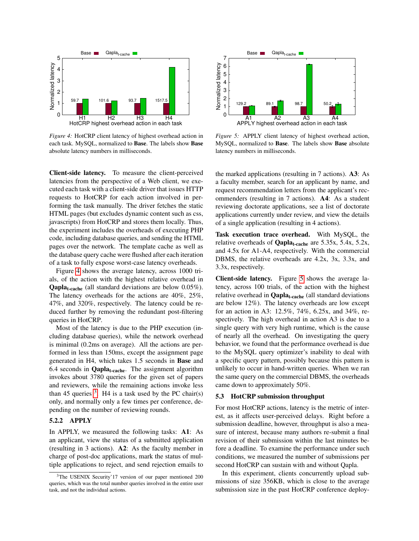<span id="page-11-0"></span>

*Figure 4:* HotCRP client latency of highest overhead action in each task. MySQL, normalized to Base. The labels show Base absolute latency numbers in milliseconds.

Client-side latency. To measure the client-perceived latencies from the perspective of a Web client, we executed each task with a client-side driver that issues HTTP requests to HotCRP for each action involved in performing the task manually. The driver fetches the static HTML pages (but excludes dynamic content such as css, javascripts) from HotCRP and stores them locally. Thus, the experiment includes the overheads of executing PHP code, including database queries, and sending the HTML pages over the network. The template cache as well as the database query cache were flushed after each iteration of a task to fully expose worst-case latency overheads.

Figure [4](#page-11-0) shows the average latency, across 1000 trials, of the action with the highest relative overhead in **Qapla<sub>t-cache</sub>** (all standard deviations are below  $0.05\%$ ). The latency overheads for the actions are 40%, 25%, 47%, and 320%, respectively. The latency could be reduced further by removing the redundant post-filtering queries in HotCRP.

Most of the latency is due to the PHP execution (including database queries), while the network overhead is minimal (0.2ms on average). All the actions are performed in less than 150ms, except the assignment page generated in H4, which takes 1.5 seconds in Base and 6.4 seconds in **Qapla<sub>t-cache</sub>**. The assignment algorithm invokes about 3780 queries for the given set of papers and reviewers, while the remaining actions invoke less than 45 queries  $3$ . H4 is a task used by the PC chair(s) only, and normally only a few times per conference, depending on the number of reviewing rounds.

## 5.2.2 APPLY

In APPLY, we measured the following tasks: A1: As an applicant, view the status of a submitted application (resulting in 3 actions). A2: As the faculty member in charge of post-doc applications, mark the status of multiple applications to reject, and send rejection emails to

<span id="page-11-2"></span>

*Figure 5:* APPLY client latency of highest overhead action, MySQL, normalized to Base. The labels show Base absolute latency numbers in milliseconds.

the marked applications (resulting in 7 actions). A3: As a faculty member, search for an applicant by name, and request recommendation letters from the applicant's recommenders (resulting in 7 actions). A4: As a student reviewing doctorate applications, see a list of doctorate applications currently under review, and view the details of a single application (resulting in 4 actions).

Task execution trace overhead. With MySQL, the relative overheads of  $\text{Qapla}_{t\text{-cache}}$  are 5.35x, 5.4x, 5.2x, and 4.5x for A1-A4, respectively. With the commercial DBMS, the relative overheads are 4.2x, 3x, 3.3x, and 3.3x, respectively.

Client-side latency. Figure [5](#page-11-2) shows the average latency, across 100 trials, of the action with the highest relative overhead in  $\mathbf{Qapla}_{t\text{-cache}}$  (all standard deviations are below 12%). The latency overheads are low except for an action in A3: 12.5%, 74%, 6.25x, and 34%, respectively. The high overhead in action A3 is due to a single query with very high runtime, which is the cause of nearly all the overhead. On investigating the query behavior, we found that the performance overhead is due to the MySQL query optimizer's inability to deal with a specific query pattern, possibly because this pattern is unlikely to occur in hand-written queries. When we ran the same query on the commercial DBMS, the overheads came down to approximately 50%.

#### 5.3 HotCRP submission throughput

For most HotCRP actions, latency is the metric of interest, as it affects user-perceived delays. Right before a submission deadline, however, throughput is also a measure of interest, because many authors re-submit a final revision of their submission within the last minutes before a deadline. To examine the performance under such conditions, we measured the number of submissions per second HotCRP can sustain with and without Qapla.

In this experiment, clients concurrently upload submissions of size 356KB, which is close to the average submission size in the past HotCRP conference deploy-

<span id="page-11-1"></span><sup>3</sup>The USENIX Security'17 version of our paper mentioned 200 queries, which was the total number queries involved in the entire user task, and not the individual actions.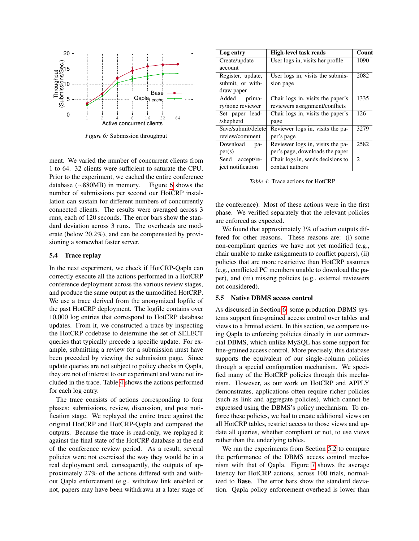<span id="page-12-0"></span>

*Figure 6:* Submission throughput

ment. We varied the number of concurrent clients from 1 to 64. 32 clients were sufficient to saturate the CPU. Prior to the experiment, we cached the entire conference database (∼880MB) in memory. Figure [6](#page-12-0) shows the number of submissions per second our HotCRP installation can sustain for different numbers of concurrently connected clients. The results were averaged across 3 runs, each of 120 seconds. The error bars show the standard deviation across 3 runs. The overheads are moderate (below 20.2%), and can be compensated by provisioning a somewhat faster server.

#### 5.4 Trace replay

In the next experiment, we check if HotCRP-Qapla can correctly execute all the actions performed in a HotCRP conference deployment across the various review stages, and produce the same output as the unmodified HotCRP. We use a trace derived from the anonymized logfile of the past HotCRP deployment. The logfile contains over 10,000 log entries that correspond to HotCRP database updates. From it, we constructed a trace by inspecting the HotCRP codebase to determine the set of SELECT queries that typically precede a specific update. For example, submitting a review for a submission must have been preceded by viewing the submission page. Since update queries are not subject to policy checks in Qapla, they are not of interest to our experiment and were not included in the trace. Table [4](#page-12-1) shows the actions performed for each log entry.

The trace consists of actions corresponding to four phases: submissions, review, discussion, and post notification stage. We replayed the entire trace against the original HotCRP and HotCRP-Qapla and compared the outputs. Because the trace is read-only, we replayed it against the final state of the HotCRP database at the end of the conference review period. As a result, several policies were not exercised the way they would be in a real deployment and, consequently, the outputs of approximately 27% of the actions differed with and without Qapla enforcement (e.g., withdraw link enabled or not, papers may have been withdrawn at a later stage of

<span id="page-12-1"></span>

| Log entry           | <b>High-level task reads</b>      | Count          |
|---------------------|-----------------------------------|----------------|
| Create/update       | User logs in, visits her profile  | 1090           |
| account             |                                   |                |
| Register, update,   | User logs in, visits the submis-  | 2082           |
| submit, or with-    | sion page                         |                |
| draw paper          |                                   |                |
| Added<br>prima-     | Chair logs in, visits the paper's | 1335           |
| ry/none reviewer    | reviewers assignment/conflicts    |                |
| Set paper lead-     | Chair logs in, visits the paper's | 126            |
| /shepherd           | page                              |                |
| Save/submit/deletel | Reviewer logs in, visits the pa-  | 3279           |
| review/comment      | per's page                        |                |
| Download<br>pa-     | Reviewer logs in, visits the pa-  | 2582           |
| per(s)              | per's page, downloads the paper   |                |
| Send<br>accept/re-  | Chair logs in, sends decisions to | $\mathfrak{D}$ |
| ject notification   | contact authors                   |                |

*Table 4:* Trace actions for HotCRP

the conference). Most of these actions were in the first phase. We verified separately that the relevant policies are enforced as expected.

We found that approximately 3% of action outputs differed for other reasons. These reasons are: (i) some non-compliant queries we have not yet modified (e.g., chair unable to make assignments to conflict papers), (ii) policies that are more restrictive than HotCRP assumes (e.g., conflicted PC members unable to download the paper), and (iii) missing policies (e.g., external reviewers not considered).

#### <span id="page-12-2"></span>5.5 Native DBMS access control

As discussed in Section [6,](#page-13-0) some production DBMS systems support fine-grained access control over tables and views to a limited extent. In this section, we compare using Qapla to enforcing policies directly in our commercial DBMS, which unlike MySQL has some support for fine-grained access control. More precisely, this database supports the equivalent of our single-column policies through a special configuration mechanism. We specified many of the HotCRP policies through this mechanism. However, as our work on HotCRP and APPLY demonstrates, applications often require richer policies (such as link and aggregate policies), which cannot be expressed using the DBMS's policy mechanism. To enforce these policies, we had to create additional views on all HotCRP tables, restrict access to those views and update all queries, whether compliant or not, to use views rather than the underlying tables.

We ran the experiments from Section [5.2](#page-10-1) to compare the performance of the DBMS access control mechanism with that of Qapla. Figure [7](#page-13-1) shows the average latency for HotCRP actions, across 100 trials, normalized to Base. The error bars show the standard deviation. Qapla policy enforcement overhead is lower than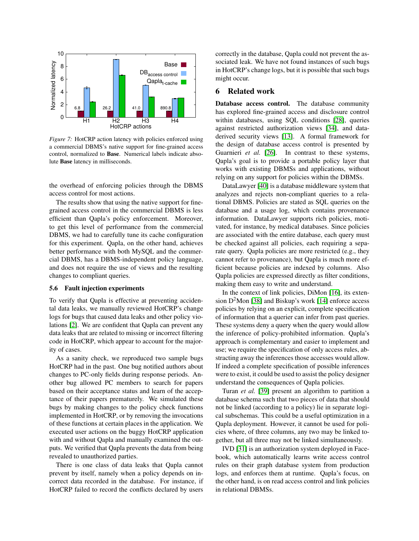<span id="page-13-1"></span>

*Figure 7:* HotCRP action latency with policies enforced using a commercial DBMS's native support for fine-grained access control, normalized to Base. Numerical labels indicate absolute Base latency in milliseconds.

the overhead of enforcing policies through the DBMS access control for most actions.

The results show that using the native support for finegrained access control in the commercial DBMS is less efficient than Qapla's policy enforcement. Moreover, to get this level of performance from the commercial DBMS, we had to carefully tune its cache configuration for this experiment. Qapla, on the other hand, achieves better performance with both MySQL and the commercial DBMS, has a DBMS-independent policy language, and does not require the use of views and the resulting changes to compliant queries.

#### 5.6 Fault injection experiments

To verify that Qapla is effective at preventing accidental data leaks, we manually reviewed HotCRP's change logs for bugs that caused data leaks and other policy violations [\[2\]](#page-15-2). We are confident that Qapla can prevent any data leaks that are related to missing or incorrect filtering code in HotCRP, which appear to account for the majority of cases.

As a sanity check, we reproduced two sample bugs HotCRP had in the past. One bug notified authors about changes to PC-only fields during response periods. Another bug allowed PC members to search for papers based on their acceptance status and learn of the acceptance of their papers prematurely. We simulated these bugs by making changes to the policy check functions implemented in HotCRP, or by removing the invocations of these functions at certain places in the application. We executed user actions on the buggy HotCRP application with and without Qapla and manually examined the outputs. We verified that Qapla prevents the data from being revealed to unauthorized parties.

There is one class of data leaks that Qapla cannot prevent by itself, namely when a policy depends on incorrect data recorded in the database. For instance, if HotCRP failed to record the conflicts declared by users correctly in the database, Qapla could not prevent the associated leak. We have not found instances of such bugs in HotCRP's change logs, but it is possible that such bugs might occur.

### <span id="page-13-0"></span>6 Related work

Database access control. The database community has explored fine-grained access and disclosure control within databases, using SQL conditions [\[28\]](#page-16-4), queries against restricted authorization views [\[34\]](#page-16-5), and dataderived security views [\[13\]](#page-16-6). A formal framework for the design of database access control is presented by Guarnieri *et al.* [\[26\]](#page-16-7). In contrast to these systems, Qapla's goal is to provide a portable policy layer that works with existing DBMSs and applications, without relying on any support for policies within the DBMSs.

DataLawyer [\[40\]](#page-16-8) is a database middleware system that analyzes and rejects non-compliant queries to a relational DBMS. Policies are stated as SQL queries on the database and a usage log, which contains provenance information. DataLawyer supports rich policies, motivated, for instance, by medical databases. Since policies are associated with the entire database, each query must be checked against all policies, each requiring a separate query. Qapla policies are more restricted (e.g., they cannot refer to provenance), but Qapla is much more efficient because policies are indexed by columns. Also Qapla policies are expressed directly as filter conditions, making them easy to write and understand.

In the context of link policies, DiMon [\[16\]](#page-16-9), its extension  $D^2$ Mon [\[38\]](#page-16-10) and Biskup's work [\[14\]](#page-16-11) enforce access policies by relying on an explicit, complete specification of information that a querier can infer from past queries. These systems deny a query when the query would allow the inference of policy-prohibited information. Qapla's approach is complementary and easier to implement and use; we require the specification of only access rules, abstracting away the inferences those accesses would allow. If indeed a complete specification of possible inferences were to exist, it could be used to assist the policy designer understand the consequences of Qapla policies.

Turan *et al.* [\[39\]](#page-16-12) present an algorithm to partition a database schema such that two pieces of data that should not be linked (according to a policy) lie in separate logical subschemas. This could be a useful optimization in a Qapla deployment. However, it cannot be used for policies where, of three columns, any two may be linked together, but all three may not be linked simultaneously.

IVD [\[31\]](#page-16-13) is an authorization system deployed in Facebook, which automatically learns write access control rules on their graph database system from production logs, and enforces them at runtime. Qapla's focus, on the other hand, is on read access control and link policies in relational DBMSs.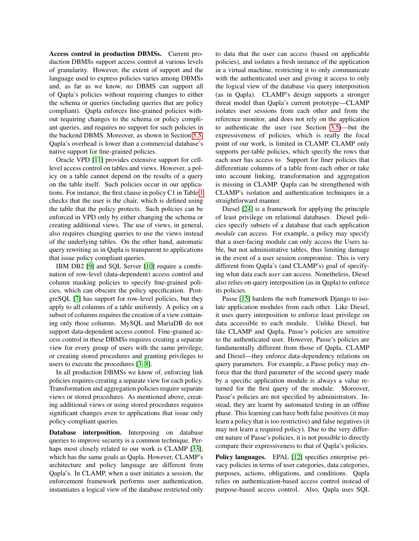Access control in production DBMSs. Current production DBMSs support access control at various levels of granularity. However, the extent of support and the language used to express policies varies among DBMSs and, as far as we know, no DBMS can support all of Qapla's policies without requiring changes to either the schema or queries (including queries that are policy compliant). Qapla enforces fine-grained policies without requiring changes to the schema or policy compliant queries, and requires no support for such policies in the backend DBMS. Moreover, as shown in Section [5.5,](#page-12-2) Qapla's overhead is lower than a commercial database's native support for fine-grained policies.

Oracle VPD [\[11\]](#page-15-0) provides extensive support for celllevel access control on tables and views. However, a policy on a table cannot depend on the results of a query on the table itself. Such policies occur in our applications. For instance, the first clause in policy C1 in Table [1](#page-8-0) checks that the user is the chair, which is defined using the table that the policy protects. Such policies can be enforced in VPD only by either changing the schema or creating additional views. The use of views, in general, also requires changing queries to use the views instead of the underlying tables. On the other hand, automatic query rewriting as in Qapla is transparent to applications that issue policy compliant queries.

IBM DB2 [\[9\]](#page-15-8) and SQL Server [\[10\]](#page-15-9) require a combination of row-level (data-dependent) access control and column masking policies to specify fine-grained policies, which can obscure the policy specification. PostgreSQL [\[7\]](#page-15-1) has support for row-level policies, but they apply to all columns of a table uniformly. A policy on a subset of columns requires the creation of a view containing only those columns. MySQL and MariaDB do not support data-dependent access control. Fine-grained access control in these DBMSs requires creating a separate view for every group of users with the same privilege, or creating stored procedures and granting privileges to users to execute the procedures [\[3,](#page-15-10) [8\]](#page-15-11).

In all production DBMSs we know of, enforcing link policies requires creating a separate view for each policy. Transformation and aggregation policies require separate views or stored procedures. As mentioned above, creating additional views or using stored procedures requires significant changes even to applications that issue only policy-compliant queries.

Database interposition. Interposing on database queries to improve security is a common technique. Perhaps most closely related to our work is CLAMP [\[33\]](#page-16-14), which has the same goals as Qapla. However, CLAMP's architecture and policy language are different from Qapla's. In CLAMP, when a user initiates a session, the enforcement framework performs user authentication, instantiates a logical view of the database restricted only to data that the user can access (based on applicable policies), and isolates a fresh instance of the application in a virtual machine, restricting it to only communicate with the authenticated user and giving it access to only the logical view of the database via query interposition (as in Qapla). CLAMP's design supports a stronger threat model than Qapla's current prototype—CLAMP isolates user sessions from each other and from the reference monitor, and does not rely on the application to authenticate the user (see Section [3.5\)](#page-6-0)—but the expressiveness of policies, which is really the focal point of our work, is limited in CLAMP. CLAMP only supports per-table policies, which specify the rows that each user has access to. Support for finer policies that differentiate columns of a table from each other or take into account linking, transformation and aggregation is missing in CLAMP. Qapla can be strengthened with CLAMP's isolation and authentication techniques in a straightforward manner.

Diesel [\[24\]](#page-16-1) is a framework for applying the principle of least privilege on relational databases. Diesel policies specify subsets of a database that each application *module* can access. For example, a policy may specify that a user-facing module can only access the Users table, but not administrative tables, thus limiting damage in the event of a user session compromise. This is very different from Qapla's (and CLAMP's) goal of specifying what data each *user* can access. Nonetheless, Diesel also relies on query interposition (as in Qapla) to enforce its policies.

Passe [\[15\]](#page-16-0) hardens the web framework Django to isolate application modules from each other. Like Diesel, it uses query interposition to enforce least privilege on data accessible to each module. Unlike Diesel, but like CLAMP and Qapla, Passe's policies are sensitive to the authenticated user. However, Passe's policies are fundamentally different from those of Qapla, CLAMP and Diesel—they enforce data-dependency relations on query parameters. For example, a Passe policy may enforce that the third parameter of the second query made by a specific application module is always a value returned for the first query of the module. Moreover, Passe's policies are not specified by administrators. Instead, they are learnt by automated testing in an offline phase. This learning can have both false positives (it may learn a policy that is too restrictive) and false negatives (it may not learn a required policy). Due to the very different nature of Passe's policies, it is not possible to directly compare their expressiveness to that of Qapla's policies.

Policy languages. EPAL [\[12\]](#page-15-12) specifies enterprise privacy policies in terms of user categories, data categories, purposes, actions, obligations, and conditions. Qapla relies on authentication-based access control instead of purpose-based access control. Also, Qapla uses SQL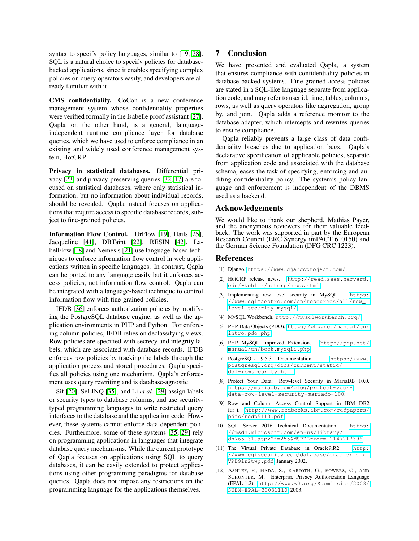syntax to specify policy languages, similar to [\[19,](#page-16-15) [28\]](#page-16-4). SQL is a natural choice to specify policies for databasebacked applications, since it enables specifying complex policies on query operators easily, and developers are already familiar with it.

CMS confidentiality. CoCon is a new conference management system whose confidentiality properties were verified formally in the Isabelle proof assistant [\[27\]](#page-16-16). Qapla on the other hand, is a general, languageindependent runtime compliance layer for database queries, which we have used to enforce compliance in an existing and widely used conference management system, HotCRP.

Privacy in statistical databases. Differential privacy [\[23\]](#page-16-17) and privacy-preserving queries [\[32,](#page-16-18) [17\]](#page-16-19) are focused on statistical databases, where only statistical information, but no information about individual records, should be revealed. Qapla instead focuses on applications that require access to specific database records, subject to fine-grained policies.

Information Flow Control. UrFlow [\[19\]](#page-16-15), Hails [\[25\]](#page-16-20), Jacqueline [\[41\]](#page-16-21), DBTaint [\[22\]](#page-16-22), RESIN [\[42\]](#page-16-23), LabelFlow [\[18\]](#page-16-24) and Nemesis [\[21\]](#page-16-25) use language-based techniques to enforce information flow control in web applications written in specific languages. In contrast, Qapla can be ported to any language easily but it enforces access policies, not information flow control. Qapla can be integrated with a language-based technique to control information flow with fine-grained policies.

IFDB [\[36\]](#page-16-26) enforces authorization policies by modifying the PostgreSQL database engine, as well as the application environments in PHP and Python. For enforcing column policies, IFDB relies on declassifying views. Row policies are specified with secrecy and integrity labels, which are associated with database records. IFDB enforces row policies by tracking the labels through the application process and stored procedures. Qapla specifies all policies using one mechanism. Qapla's enforcement uses query rewriting and is database-agnostic.

<span id="page-15-3"></span>Sif [\[20\]](#page-16-27), SeLINQ [\[35\]](#page-16-28), and Li *et al.* [\[29\]](#page-16-29) assign labels or security types to database columns, and use securitytyped programming languages to write restricted query interfaces to the database and the application code. However, these systems cannot enforce data-dependent policies. Furthermore, some of these systems [\[35,](#page-16-28) [29\]](#page-16-29) rely on programming applications in languages that integrate database query mechanisms. While the current prototype of Qapla focuses on applications using SQL to query databases, it can be easily extended to protect applications using other programming paradigms for database queries. Qapla does not impose any restrictions on the programming language for the applications themselves.

## 7 Conclusion

We have presented and evaluated Qapla, a system that ensures compliance with confidentiality policies in database-backed systems. Fine-grained access policies are stated in a SQL-like language separate from application code, and may refer to user id, time, tables, columns, rows, as well as query operators like aggregation, group by, and join. Qapla adds a reference monitor to the database adapter, which intercepts and rewrites queries to ensure compliance.

Qapla reliably prevents a large class of data confidentiality breaches due to application bugs. Qapla's declarative specification of applicable policies, separate from application code and associated with the database schema, eases the task of specifying, enforcing and auditing confidentiality policy. The system's policy language and enforcement is independent of the DBMS used as a backend.

### Acknowledgements

We would like to thank our shepherd, Mathias Payer, and the anonymous reviewers for their valuable feedback. The work was supported in part by the European Research Council (ERC Synergy imPACT 610150) and the German Science Foundation (DFG CRC 1223).

#### References

- <span id="page-15-6"></span>[1] Django. <https://www.djangoproject.com/>.
- <span id="page-15-2"></span>[2] HotCRP release news. [http://read.seas.harvard.](http://read.seas.harvard.edu/~kohler/hotcrp/news.html) [edu/~kohler/hotcrp/news.html](http://read.seas.harvard.edu/~kohler/hotcrp/news.html).
- <span id="page-15-10"></span>[3] Implementing row level security in MySQL. [https:](https://www.sqlmaestro.com/en/resources/all/row_level_security_mysql/) [//www.sqlmaestro.com/en/resources/all/row\\_](https://www.sqlmaestro.com/en/resources/all/row_level_security_mysql/) [level\\_security\\_mysql/](https://www.sqlmaestro.com/en/resources/all/row_level_security_mysql/).
- <span id="page-15-4"></span>[4] MySQL Workbench. <http://mysqlworkbench.org/>.
- <span id="page-15-5"></span>[5] PHP Data Objects (PDO). [http://php.net/manual/en/](http://php.net/manual/en/intro.pdo.php) [intro.pdo.php](http://php.net/manual/en/intro.pdo.php).
- <span id="page-15-7"></span>[6] PHP MySQL Improved Extension. [http://php.net/](http://php.net/manual/en/book.mysqli.php) [manual/en/book.mysqli.php](http://php.net/manual/en/book.mysqli.php).
- <span id="page-15-1"></span>[7] PostgreSQL 9.5.3 Documentation. [https://www.](https://www.postgresql.org/docs/current/static/ddl-rowsecurity.html) [postgresql.org/docs/current/static/](https://www.postgresql.org/docs/current/static/ddl-rowsecurity.html) [ddl-rowsecurity.html](https://www.postgresql.org/docs/current/static/ddl-rowsecurity.html).
- <span id="page-15-11"></span>[8] Protect Your Data: Row-level Security in MariaDB 10.0. [https://mariadb.com/blog/protect-your](https://mariadb.com/blog/protect-your-)<data-row-level-security-mariadb-100>.
- <span id="page-15-8"></span>[9] Row and Column Access Control Support in IBM DB2 for i. [http://www.redbooks.ibm.com/redpapers/](http://www.redbooks.ibm.com/redpapers/pdfs/redp5110.pdf) [pdfs/redp5110.pdf](http://www.redbooks.ibm.com/redpapers/pdfs/redp5110.pdf).
- <span id="page-15-9"></span>[10] SQL Server 2016 Technical Documentation. [https:](https://msdn.microsoft.com/en-us/library/dn765131.aspx?f=255&MSPPError=-2147217396) [//msdn.microsoft.com/en-us/library/](https://msdn.microsoft.com/en-us/library/dn765131.aspx?f=255&MSPPError=-2147217396) [dn765131.aspx?f=255&MSPPError=-2147217396](https://msdn.microsoft.com/en-us/library/dn765131.aspx?f=255&MSPPError=-2147217396).
- <span id="page-15-0"></span>[11] The Virtual Private Database in Oracle9iR2. [http:](http://www.cgisecurity.com/database/oracle/pdf/VPD9ir2twp.pdf) [//www.cgisecurity.com/database/oracle/pdf/](http://www.cgisecurity.com/database/oracle/pdf/VPD9ir2twp.pdf) [VPD9ir2twp.pdf](http://www.cgisecurity.com/database/oracle/pdf/VPD9ir2twp.pdf), January 2002.
- <span id="page-15-12"></span>[12] ASHLEY, P., HADA, S., KARJOTH, G., POWERS, C., AND SCHUNTER, M. Enterprise Privacy Authorization Language (EPAL 1.2). [http://www.w3.org/Submission/2003/](http://www.w3.org/Submission/2003/SUBM-EPAL-20031110) [SUBM-EPAL-20031110](http://www.w3.org/Submission/2003/SUBM-EPAL-20031110), 2003.